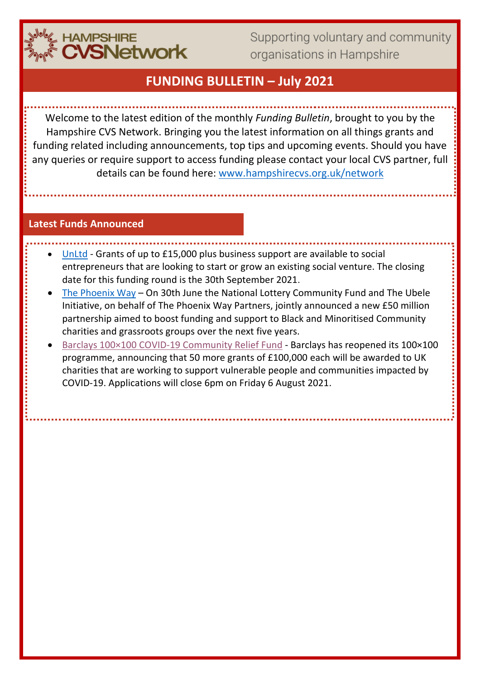

Supporting voluntary and community organisations in Hampshire

## **FUNDING BULLETIN – July 2021**

Welcome to the latest edition of the monthly *Funding Bulletin*, brought to you by the Hampshire CVS Network. Bringing you the latest information on all things grants and funding related including announcements, top tips and upcoming events. Should you have any queries or require support to access funding please contact your local CVS partner, full details can be found here: [www.hampshirecvs.org.uk/network](http://www.hampshirecvs.org.uk/network)

#### **Latest Funds Announced**

- [UnLtd](https://www.unltd.org.uk/awards) Grants of up to £15,000 plus business support are available to social entrepreneurs that are looking to start or grow an existing social venture. The closing date for this funding round is the 30th September 2021.
- [The Phoenix Way](https://www.tnlcommunityfund.org.uk/news/press-releases/2021-06-30/new-50-million-partnership-aimed-to-boost-national-lottery-funding-to-black-and-minoritised-community-led-charities-and-grassroots-groups) On 30th June the National Lottery Community Fund and The Ubele Initiative, on behalf of The Phoenix Way Partners, jointly announced a new £50 million partnership aimed to boost funding and support to Black and Minoritised Community charities and grassroots groups over the next five years.
- [Barclays 100×100 COVID-19 Community Relief Fund](https://dsc-enews.org.uk/6S7-7GI1Z-W6FXZT-4I6Y1V-1/c.aspx) Barclays has reopened its 100×100 programme, announcing that 50 more grants of £100,000 each will be awarded to UK charities that are working to support vulnerable people and communities impacted by COVID-19. Applications will close 6pm on Friday 6 August 2021.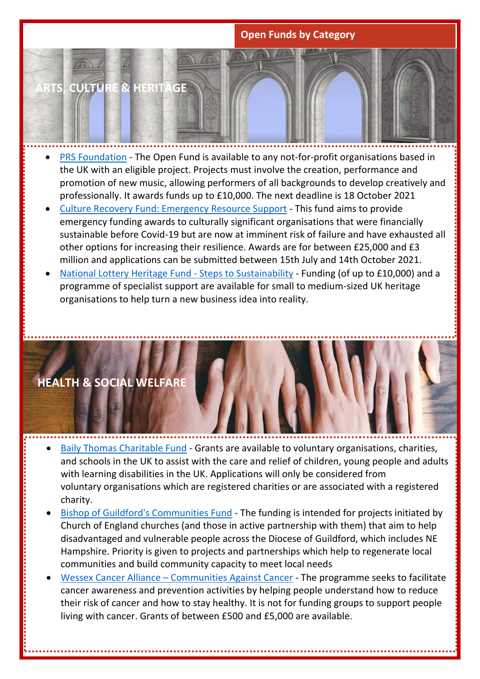## **Open Funds by Category**

**ARTS, CULTURE & HERITAGE**

- [PRS Foundation](https://prsfoundation.com/funding-support/funding-for-organisations/the-open-fund-for-organisations/) The Open Fund is available to any not-for-profit organisations based in the UK with an eligible project. Projects must involve the creation, performance and promotion of new music, allowing performers of all backgrounds to develop creatively and professionally. It awards funds up to £10,000. The next deadline is 18 October 2021
- [Culture Recovery Fund: Emergency Resource Support](https://www.artscouncil.org.uk/funding/culture-recovery-fund-emergency-resource-support) This fund aims to provide emergency funding awards to culturally significant organisations that were financially sustainable before Covid-19 but are now at imminent risk of failure and have exhausted all other options for increasing their resilience. Awards are for between £25,000 and £3 million and applications can be submitted between 15th July and 14th October 2021.
- [National Lottery Heritage Fund -](https://your.socialenterprise.academy/course/view.php?id=599) Steps to Sustainability Funding (of up to £10,000) and a programme of specialist support are available for small to medium-sized UK heritage organisations to help turn a new business idea into reality.

## **HEALTH & SOCIAL WELFARE**

- [Baily Thomas Charitable Fund](https://www.bailythomas.org.uk/) Grants are available to voluntary organisations, charities, and schools in the UK to assist with the care and relief of children, young people and adults with learning disabilities in the UK. Applications will only be considered from voluntary organisations which are registered charities or are associated with a registered charity.
- [Bishop of Guildford's Communities Fund](https://www.cofeguildford.org.uk/making-disciples/cultivating-community-partnerships/bishops-community-fund) The funding is intended for projects initiated by Church of England churches (and those in active partnership with them) that aim to help disadvantaged and vulnerable people across the Diocese of Guildford, which includes NE Hampshire. Priority is given to projects and partnerships which help to regenerate local communities and build community capacity to meet local needs
- Wessex Cancer Alliance [Communities Against Cancer](https://actionhampshire.org/what-we-do/projects/communities-against-cancer/) The programme seeks to facilitate cancer awareness and prevention activities by helping people understand how to reduce their risk of cancer and how to stay healthy. It is not for funding groups to support people living with cancer. Grants of between £500 and £5,000 are available.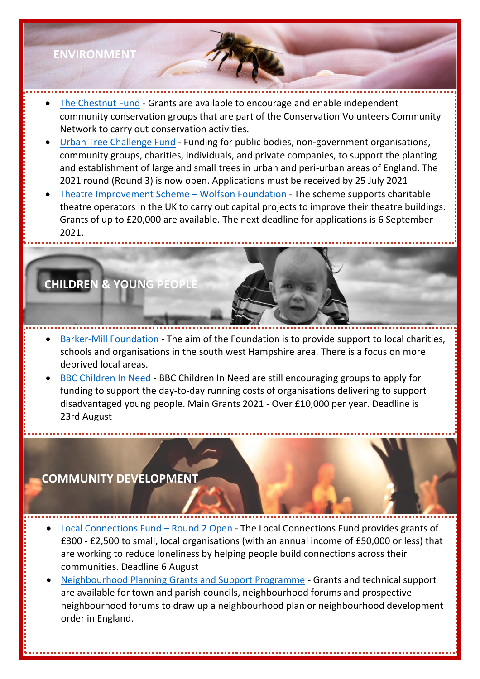## **ENVIRONMENT**

- [The Chestnut Fund](https://www.tcv.org.uk/communities/join-community-network/the-chestnut-fund) Grants are available to encourage and enable independent community conservation groups that are part of the Conservation Volunteers Community Network to carry out conservation activities.
- [Urban Tree Challenge Fund](https://www.gov.uk/guidance/urban-tree-challenge-fund) Funding for public bodies, non-government organisations, community groups, charities, individuals, and private companies, to support the planting and establishment of large and small trees in urban and peri-urban areas of England. The 2021 round (Round 3) is now open. Applications must be received by 25 July 2021
- [Theatre Improvement Scheme](http://www.theatrestrust.org.uk/how-we-help/grants-funding/theatre-improvement-scheme)  Wolfson Foundation The scheme supports charitable theatre operators in the UK to carry out capital projects to improve their theatre buildings. Grants of up to £20,000 are available. The next deadline for applications is 6 September 2021.

# **CHILDREN & YOUNG PEOPLE**

- [Barker-Mill Foundation](https://barkermillfoundation.com/) The aim of the Foundation is to provide support to local charities, schools and organisations in the south west Hampshire area. There is a focus on more deprived local areas.
- **[BBC Children In Need](https://www.bbcchildreninneed.co.uk/grants/covid-19-funding-streams/) BBC Children In Need are still encouraging groups to apply for** funding to support the day-to-day running costs of organisations delivering to support disadvantaged young people. Main Grants 2021 - Over £10,000 per year. Deadline is 23rd August

## **COMMUNITY DEVELOPMENT**

- [Local Connections Fund](https://www.tnlcommunityfund.org.uk/funding/programmes/local-connections-fund-round-2)  Round 2 Open The Local Connections Fund provides grants of £300 - £2,500 to small, local organisations (with an annual income of £50,000 or less) that are working to reduce loneliness by helping people build connections across their communities. Deadline 6 August
- [Neighbourhood Planning Grants and Support Programme](https://neighbourhoodplanning.org/) Grants and technical support are available for town and parish councils, neighbourhood forums and prospective neighbourhood forums to draw up a neighbourhood plan or neighbourhood development order in England.